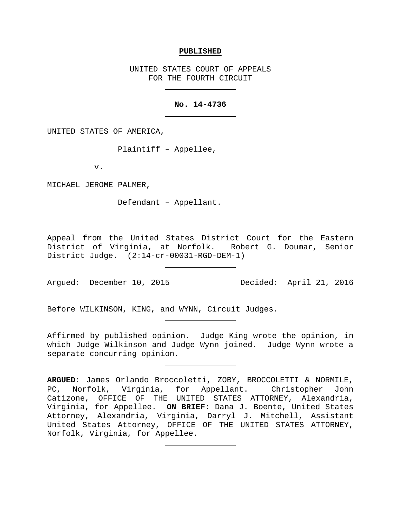#### **PUBLISHED**

UNITED STATES COURT OF APPEALS FOR THE FOURTH CIRCUIT

### **No. 14-4736**

UNITED STATES OF AMERICA,

Plaintiff – Appellee,

v.

MICHAEL JEROME PALMER,

Defendant – Appellant.

Appeal from the United States District Court for the Eastern District of Virginia, at Norfolk. Robert G. Doumar, Senior District Judge. (2:14-cr-00031-RGD-DEM-1)

Argued: December 10, 2015 Decided: April 21, 2016

Before WILKINSON, KING, and WYNN, Circuit Judges.

Affirmed by published opinion. Judge King wrote the opinion, in which Judge Wilkinson and Judge Wynn joined. Judge Wynn wrote a separate concurring opinion.

**ARGUED**: James Orlando Broccoletti, ZOBY, BROCCOLETTI & NORMILE, PC, Norfolk, Virginia, for Appellant. Christopher John Catizone, OFFICE OF THE UNITED STATES ATTORNEY, Alexandria, Virginia, for Appellee. **ON BRIEF**: Dana J. Boente, United States Attorney, Alexandria, Virginia, Darryl J. Mitchell, Assistant United States Attorney, OFFICE OF THE UNITED STATES ATTORNEY, Norfolk, Virginia, for Appellee.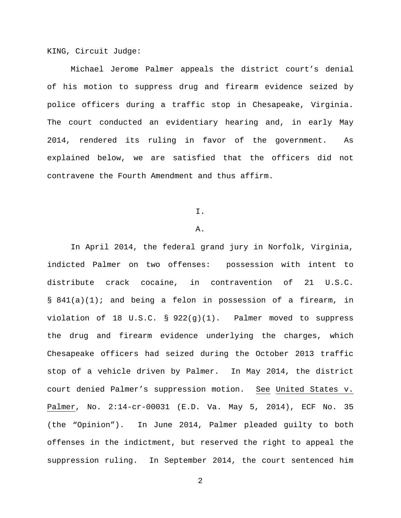KING, Circuit Judge:

Michael Jerome Palmer appeals the district court's denial of his motion to suppress drug and firearm evidence seized by police officers during a traffic stop in Chesapeake, Virginia. The court conducted an evidentiary hearing and, in early May 2014, rendered its ruling in favor of the government. As explained below, we are satisfied that the officers did not contravene the Fourth Amendment and thus affirm.

I.

### A.

In April 2014, the federal grand jury in Norfolk, Virginia, indicted Palmer on two offenses: possession with intent to distribute crack cocaine, in contravention of 21 U.S.C. § 841(a)(1); and being a felon in possession of a firearm, in violation of 18 U.S.C.  $\S$  922(g)(1). Palmer moved to suppress the drug and firearm evidence underlying the charges, which Chesapeake officers had seized during the October 2013 traffic stop of a vehicle driven by Palmer. In May 2014, the district court denied Palmer's suppression motion. See United States v. Palmer, No. 2:14-cr-00031 (E.D. Va. May 5, 2014), ECF No. 35 (the "Opinion"). In June 2014, Palmer pleaded guilty to both offenses in the indictment, but reserved the right to appeal the suppression ruling. In September 2014, the court sentenced him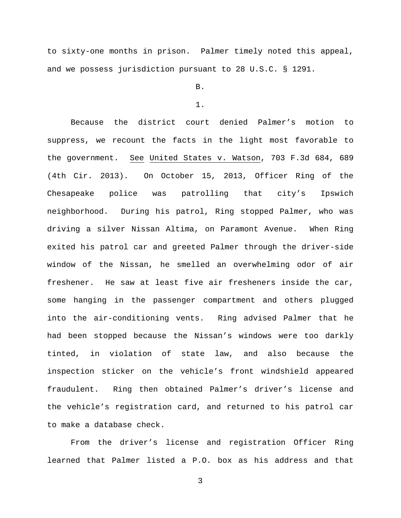to sixty-one months in prison. Palmer timely noted this appeal, and we possess jurisdiction pursuant to 28 U.S.C. § 1291.

B.

#### 1.

Because the district court denied Palmer's motion to suppress, we recount the facts in the light most favorable to the government. See United States v. Watson, 703 F.3d 684, 689 (4th Cir. 2013). On October 15, 2013, Officer Ring of the Chesapeake police was patrolling that city's Ipswich neighborhood. During his patrol, Ring stopped Palmer, who was driving a silver Nissan Altima, on Paramont Avenue. When Ring exited his patrol car and greeted Palmer through the driver-side window of the Nissan, he smelled an overwhelming odor of air freshener. He saw at least five air fresheners inside the car, some hanging in the passenger compartment and others plugged into the air-conditioning vents. Ring advised Palmer that he had been stopped because the Nissan's windows were too darkly tinted, in violation of state law, and also because the inspection sticker on the vehicle's front windshield appeared fraudulent. Ring then obtained Palmer's driver's license and the vehicle's registration card, and returned to his patrol car to make a database check.

From the driver's license and registration Officer Ring learned that Palmer listed a P.O. box as his address and that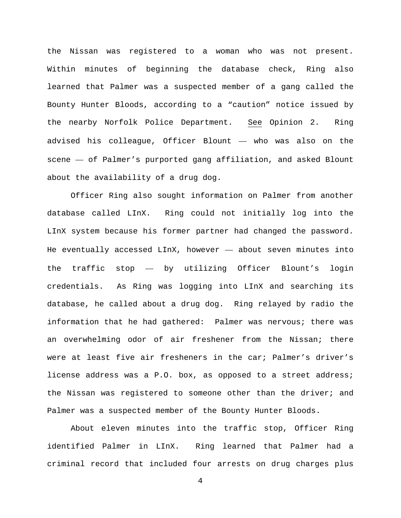the Nissan was registered to a woman who was not present. Within minutes of beginning the database check, Ring also learned that Palmer was a suspected member of a gang called the Bounty Hunter Bloods, according to a "caution" notice issued by the nearby Norfolk Police Department. See Opinion 2. Ring advised his colleague, Officer Blount — who was also on the scene — of Palmer's purported gang affiliation, and asked Blount about the availability of a drug dog.

Officer Ring also sought information on Palmer from another database called LInX. Ring could not initially log into the LInX system because his former partner had changed the password. He eventually accessed LInX, however — about seven minutes into the traffic stop — by utilizing Officer Blount's login credentials. As Ring was logging into LInX and searching its database, he called about a drug dog. Ring relayed by radio the information that he had gathered: Palmer was nervous; there was an overwhelming odor of air freshener from the Nissan; there were at least five air fresheners in the car; Palmer's driver's license address was a P.O. box, as opposed to a street address; the Nissan was registered to someone other than the driver; and Palmer was a suspected member of the Bounty Hunter Bloods.

About eleven minutes into the traffic stop, Officer Ring identified Palmer in LInX. Ring learned that Palmer had a criminal record that included four arrests on drug charges plus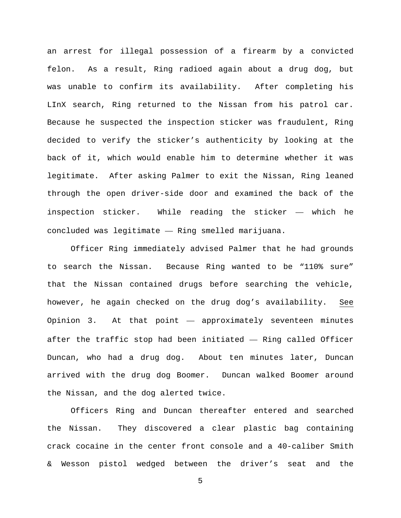an arrest for illegal possession of a firearm by a convicted felon. As a result, Ring radioed again about a drug dog, but was unable to confirm its availability. After completing his LInX search, Ring returned to the Nissan from his patrol car. Because he suspected the inspection sticker was fraudulent, Ring decided to verify the sticker's authenticity by looking at the back of it, which would enable him to determine whether it was legitimate. After asking Palmer to exit the Nissan, Ring leaned through the open driver-side door and examined the back of the inspection sticker. While reading the sticker — which he concluded was legitimate — Ring smelled marijuana.

Officer Ring immediately advised Palmer that he had grounds to search the Nissan. Because Ring wanted to be "110% sure" that the Nissan contained drugs before searching the vehicle, however, he again checked on the drug dog's availability. See Opinion 3. At that point — approximately seventeen minutes after the traffic stop had been initiated — Ring called Officer Duncan, who had a drug dog. About ten minutes later, Duncan arrived with the drug dog Boomer. Duncan walked Boomer around the Nissan, and the dog alerted twice.

Officers Ring and Duncan thereafter entered and searched the Nissan. They discovered a clear plastic bag containing crack cocaine in the center front console and a 40-caliber Smith & Wesson pistol wedged between the driver's seat and the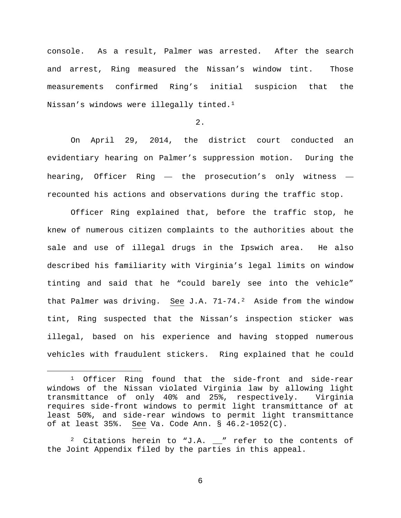console. As a result, Palmer was arrested. After the search and arrest, Ring measured the Nissan's window tint. Those measurements confirmed Ring's initial suspicion that the Nissan's windows were illegally tinted.[1](#page-5-0)

2.

On April 29, 2014, the district court conducted an evidentiary hearing on Palmer's suppression motion. During the hearing, Officer Ring — the prosecution's only witness recounted his actions and observations during the traffic stop.

Officer Ring explained that, before the traffic stop, he knew of numerous citizen complaints to the authorities about the sale and use of illegal drugs in the Ipswich area. He also described his familiarity with Virginia's legal limits on window tinting and said that he "could barely see into the vehicle" that Palmer was driving. See J.A.  $71-74.2$  Aside from the window tint, Ring suspected that the Nissan's inspection sticker was illegal, based on his experience and having stopped numerous vehicles with fraudulent stickers. Ring explained that he could

<span id="page-5-0"></span><sup>&</sup>lt;sup>1</sup> Officer Ring found that the side-front and side-rear windows of the Nissan violated Virginia law by allowing light transmittance of only 40% and 25%, respectively. Virginia requires side-front windows to permit light transmittance of at least 50%, and side-rear windows to permit light transmittance of at least 35%. See Va. Code Ann. § 46.2-1052(C).

<span id="page-5-1"></span><sup>&</sup>lt;sup>2</sup> Citations herein to "J.A.  $\_\text{''}$  refer to the contents of the Joint Appendix filed by the parties in this appeal.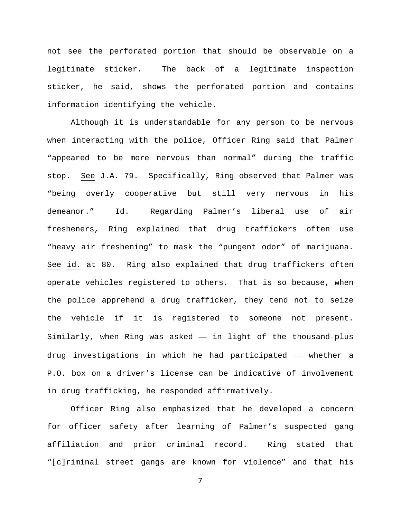not see the perforated portion that should be observable on a legitimate sticker. The back of a legitimate inspection sticker, he said, shows the perforated portion and contains information identifying the vehicle.

Although it is understandable for any person to be nervous when interacting with the police, Officer Ring said that Palmer "appeared to be more nervous than normal" during the traffic stop. See J.A. 79. Specifically, Ring observed that Palmer was "being overly cooperative but still very nervous in his demeanor." Id. Regarding Palmer's liberal use of air fresheners, Ring explained that drug traffickers often use "heavy air freshening" to mask the "pungent odor" of marijuana. See id. at 80. Ring also explained that drug traffickers often operate vehicles registered to others. That is so because, when the police apprehend a drug trafficker, they tend not to seize the vehicle if it is registered to someone not present. Similarly, when Ring was asked — in light of the thousand-plus drug investigations in which he had participated — whether a P.O. box on a driver's license can be indicative of involvement in drug trafficking, he responded affirmatively.

Officer Ring also emphasized that he developed a concern for officer safety after learning of Palmer's suspected gang affiliation and prior criminal record. Ring stated that "[c]riminal street gangs are known for violence" and that his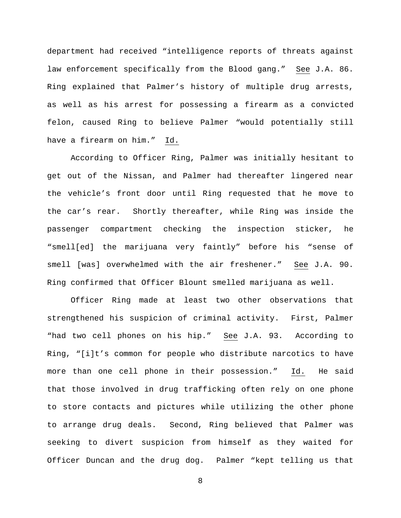department had received "intelligence reports of threats against law enforcement specifically from the Blood gang." See J.A. 86. Ring explained that Palmer's history of multiple drug arrests, as well as his arrest for possessing a firearm as a convicted felon, caused Ring to believe Palmer "would potentially still have a firearm on him." Id.

According to Officer Ring, Palmer was initially hesitant to get out of the Nissan, and Palmer had thereafter lingered near the vehicle's front door until Ring requested that he move to the car's rear. Shortly thereafter, while Ring was inside the passenger compartment checking the inspection sticker, he "smell[ed] the marijuana very faintly" before his "sense of smell [was] overwhelmed with the air freshener." See J.A. 90. Ring confirmed that Officer Blount smelled marijuana as well.

Officer Ring made at least two other observations that strengthened his suspicion of criminal activity. First, Palmer "had two cell phones on his hip." See J.A. 93. According to Ring, "[i]t's common for people who distribute narcotics to have more than one cell phone in their possession." Id. He said that those involved in drug trafficking often rely on one phone to store contacts and pictures while utilizing the other phone to arrange drug deals. Second, Ring believed that Palmer was seeking to divert suspicion from himself as they waited for Officer Duncan and the drug dog. Palmer "kept telling us that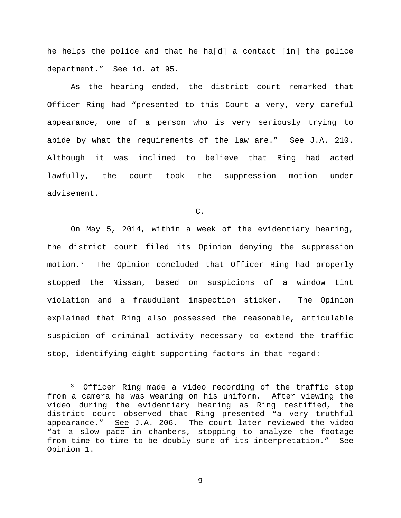he helps the police and that he ha[d] a contact [in] the police department." See id. at 95.

As the hearing ended, the district court remarked that Officer Ring had "presented to this Court a very, very careful appearance, one of a person who is very seriously trying to abide by what the requirements of the law are." See J.A. 210. Although it was inclined to believe that Ring had acted lawfully, the court took the suppression motion under advisement.

C.

On May 5, 2014, within a week of the evidentiary hearing, the district court filed its Opinion denying the suppression motion.[3](#page-8-0) The Opinion concluded that Officer Ring had properly stopped the Nissan, based on suspicions of a window tint violation and a fraudulent inspection sticker. The Opinion explained that Ring also possessed the reasonable, articulable suspicion of criminal activity necessary to extend the traffic stop, identifying eight supporting factors in that regard:

<span id="page-8-0"></span><sup>&</sup>lt;sup>3</sup> Officer Ring made a video recording of the traffic stop from a camera he was wearing on his uniform. After viewing the video during the evidentiary hearing as Ring testified, the district court observed that Ring presented "a very truthful appearance." See J.A. 206. The court later reviewed the video "at a slow pace in chambers, stopping to analyze the footage from time to time to be doubly sure of its interpretation." See Opinion 1.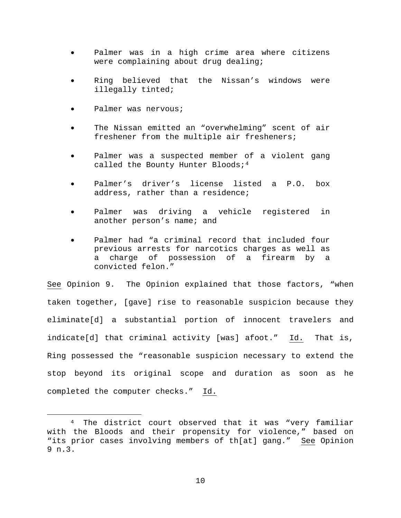- Palmer was in a high crime area where citizens were complaining about drug dealing;
- Ring believed that the Nissan's windows were illegally tinted;
- Palmer was nervous;
- The Nissan emitted an "overwhelming" scent of air freshener from the multiple air fresheners;
- Palmer was a suspected member of a violent gang called the Bounty Hunter Bloods;  $4^4$  $4^4$
- Palmer's driver's license listed a P.O. box address, rather than a residence;
- Palmer was driving a vehicle registered in another person's name; and
- Palmer had "a criminal record that included four previous arrests for narcotics charges as well as a charge of possession of a firearm by a convicted felon."

See Opinion 9. The Opinion explained that those factors, "when taken together, [gave] rise to reasonable suspicion because they eliminate[d] a substantial portion of innocent travelers and indicate[d] that criminal activity [was] afoot." Id. That is, Ring possessed the "reasonable suspicion necessary to extend the stop beyond its original scope and duration as soon as he completed the computer checks." Id.

<span id="page-9-0"></span> <sup>4</sup> The district court observed that it was "very familiar with the Bloods and their propensity for violence," based on "its prior cases involving members of th[at] gang." See Opinion 9 n.3.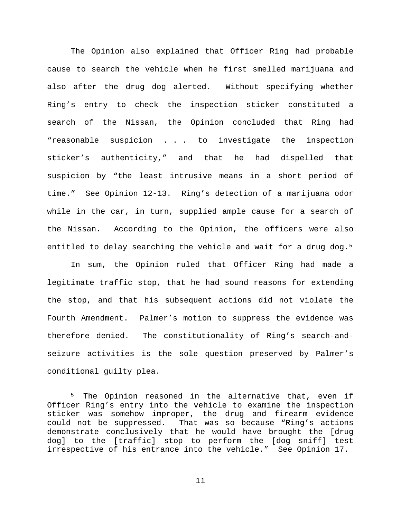The Opinion also explained that Officer Ring had probable cause to search the vehicle when he first smelled marijuana and also after the drug dog alerted. Without specifying whether Ring's entry to check the inspection sticker constituted a search of the Nissan, the Opinion concluded that Ring had "reasonable suspicion . . . to investigate the inspection sticker's authenticity," and that he had dispelled that suspicion by "the least intrusive means in a short period of time." See Opinion 12-13. Ring's detection of a marijuana odor while in the car, in turn, supplied ample cause for a search of the Nissan. According to the Opinion, the officers were also entitled to delay searching the vehicle and wait for a drug dog.<sup>[5](#page-10-0)</sup>

In sum, the Opinion ruled that Officer Ring had made a legitimate traffic stop, that he had sound reasons for extending the stop, and that his subsequent actions did not violate the Fourth Amendment. Palmer's motion to suppress the evidence was therefore denied. The constitutionality of Ring's search-andseizure activities is the sole question preserved by Palmer's conditional guilty plea.

<span id="page-10-0"></span> <sup>5</sup> The Opinion reasoned in the alternative that, even if Officer Ring's entry into the vehicle to examine the inspection sticker was somehow improper, the drug and firearm evidence could not be suppressed. That was so because "Ring's actions demonstrate conclusively that he would have brought the [drug dog] to the [traffic] stop to perform the [dog sniff] test irrespective of his entrance into the vehicle." See Opinion 17.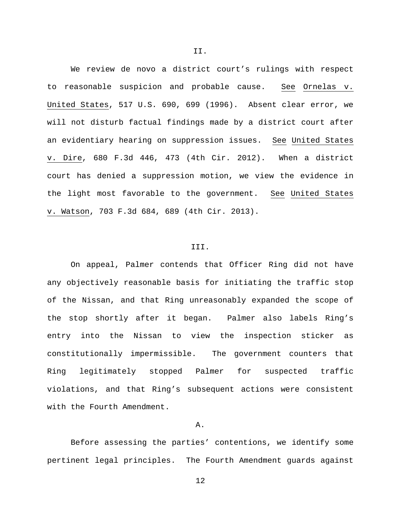We review de novo a district court's rulings with respect to reasonable suspicion and probable cause. See Ornelas v. United States, 517 U.S. 690, 699 (1996). Absent clear error, we will not disturb factual findings made by a district court after an evidentiary hearing on suppression issues. See United States v. Dire, 680 F.3d 446, 473 (4th Cir. 2012). When a district court has denied a suppression motion, we view the evidence in the light most favorable to the government. See United States v. Watson, 703 F.3d 684, 689 (4th Cir. 2013).

#### III.

On appeal, Palmer contends that Officer Ring did not have any objectively reasonable basis for initiating the traffic stop of the Nissan, and that Ring unreasonably expanded the scope of the stop shortly after it began. Palmer also labels Ring's entry into the Nissan to view the inspection sticker as constitutionally impermissible. The government counters that Ring legitimately stopped Palmer for suspected traffic violations, and that Ring's subsequent actions were consistent with the Fourth Amendment.

#### A.

Before assessing the parties' contentions, we identify some pertinent legal principles. The Fourth Amendment guards against

II.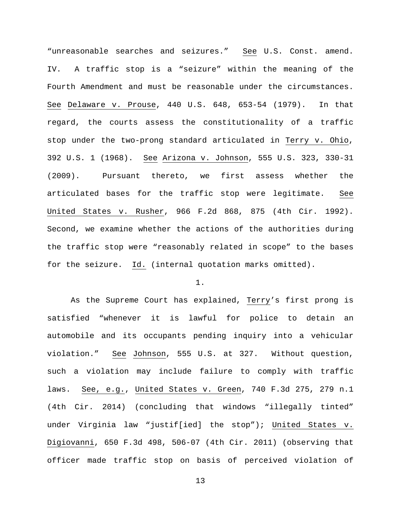"unreasonable searches and seizures." See U.S. Const. amend. IV. A traffic stop is a "seizure" within the meaning of the Fourth Amendment and must be reasonable under the circumstances. See Delaware v. Prouse, 440 U.S. 648, 653-54 (1979). In that regard, the courts assess the constitutionality of a traffic stop under the two-prong standard articulated in Terry v. Ohio, 392 U.S. 1 (1968). See Arizona v. Johnson, 555 U.S. 323, 330-31 (2009). Pursuant thereto, we first assess whether the articulated bases for the traffic stop were legitimate. See United States v. Rusher, 966 F.2d 868, 875 (4th Cir. 1992). Second, we examine whether the actions of the authorities during the traffic stop were "reasonably related in scope" to the bases for the seizure. Id. (internal quotation marks omitted).

## 1.

As the Supreme Court has explained, Terry's first prong is satisfied "whenever it is lawful for police to detain an automobile and its occupants pending inquiry into a vehicular violation." See Johnson, 555 U.S. at 327. Without question, such a violation may include failure to comply with traffic laws. See, e.g., United States v. Green, 740 F.3d 275, 279 n.1 (4th Cir. 2014) (concluding that windows "illegally tinted" under Virginia law "justif[ied] the stop"); United States v. Digiovanni, 650 F.3d 498, 506-07 (4th Cir. 2011) (observing that officer made traffic stop on basis of perceived violation of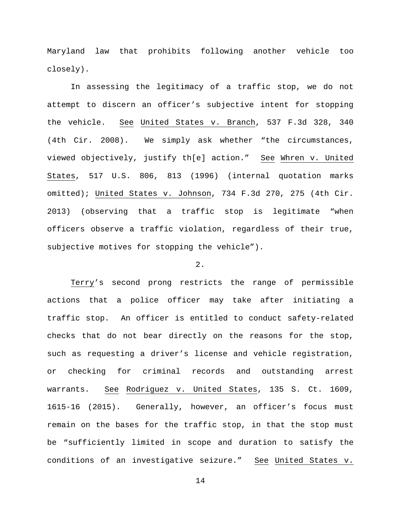Maryland law that prohibits following another vehicle too closely).

In assessing the legitimacy of a traffic stop, we do not attempt to discern an officer's subjective intent for stopping the vehicle. See United States v. Branch, 537 F.3d 328, 340 (4th Cir. 2008). We simply ask whether "the circumstances, viewed objectively, justify th[e] action." See Whren v. United States, 517 U.S. 806, 813 (1996) (internal quotation marks omitted); United States v. Johnson, 734 F.3d 270, 275 (4th Cir. 2013) (observing that a traffic stop is legitimate "when officers observe a traffic violation, regardless of their true, subjective motives for stopping the vehicle").

### 2.

Terry's second prong restricts the range of permissible actions that a police officer may take after initiating a traffic stop. An officer is entitled to conduct safety-related checks that do not bear directly on the reasons for the stop, such as requesting a driver's license and vehicle registration, or checking for criminal records and outstanding arrest warrants. See Rodriguez v. United States, 135 S. Ct. 1609, 1615-16 (2015). Generally, however, an officer's focus must remain on the bases for the traffic stop, in that the stop must be "sufficiently limited in scope and duration to satisfy the conditions of an investigative seizure." See United States v.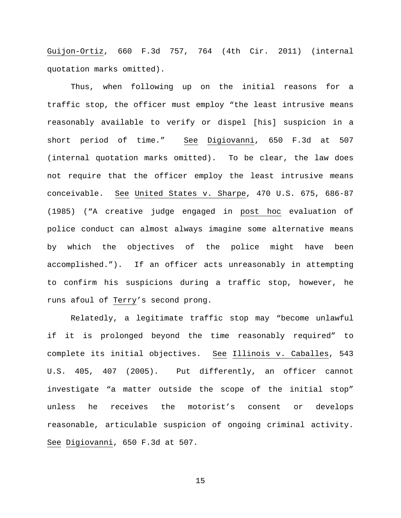Guijon-Ortiz, 660 F.3d 757, 764 (4th Cir. 2011) (internal quotation marks omitted).

Thus, when following up on the initial reasons for a traffic stop, the officer must employ "the least intrusive means reasonably available to verify or dispel [his] suspicion in a short period of time." See Digiovanni, 650 F.3d at 507 (internal quotation marks omitted). To be clear, the law does not require that the officer employ the least intrusive means conceivable. See United States v. Sharpe, 470 U.S. 675, 686-87 (1985) ("A creative judge engaged in post hoc evaluation of police conduct can almost always imagine some alternative means by which the objectives of the police might have been accomplished."). If an officer acts unreasonably in attempting to confirm his suspicions during a traffic stop, however, he runs afoul of Terry's second prong.

Relatedly, a legitimate traffic stop may "become unlawful if it is prolonged beyond the time reasonably required" to complete its initial objectives. See Illinois v. Caballes, 543 U.S. 405, 407 (2005). Put differently, an officer cannot investigate "a matter outside the scope of the initial stop" unless he receives the motorist's consent or develops reasonable, articulable suspicion of ongoing criminal activity. See Digiovanni, 650 F.3d at 507.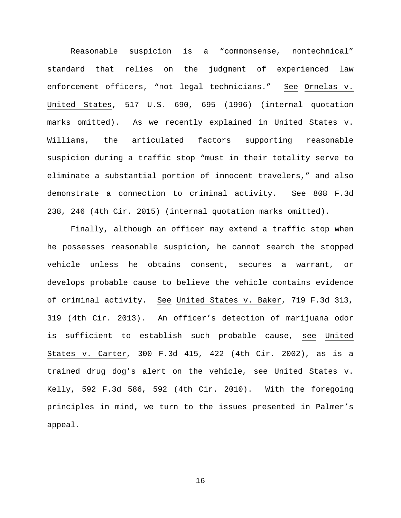Reasonable suspicion is a "commonsense, nontechnical" standard that relies on the judgment of experienced law enforcement officers, "not legal technicians." See Ornelas v. United States, 517 U.S. 690, 695 (1996) (internal quotation marks omitted). As we recently explained in United States v. Williams, the articulated factors supporting reasonable suspicion during a traffic stop "must in their totality serve to eliminate a substantial portion of innocent travelers," and also demonstrate a connection to criminal activity. See 808 F.3d 238, 246 (4th Cir. 2015) (internal quotation marks omitted).

Finally, although an officer may extend a traffic stop when he possesses reasonable suspicion, he cannot search the stopped vehicle unless he obtains consent, secures a warrant, or develops probable cause to believe the vehicle contains evidence of criminal activity. See United States v. Baker, 719 F.3d 313, 319 (4th Cir. 2013). An officer's detection of marijuana odor is sufficient to establish such probable cause, see United States v. Carter, 300 F.3d 415, 422 (4th Cir. 2002), as is a trained drug dog's alert on the vehicle, see United States v. Kelly, 592 F.3d 586, 592 (4th Cir. 2010). With the foregoing principles in mind, we turn to the issues presented in Palmer's appeal.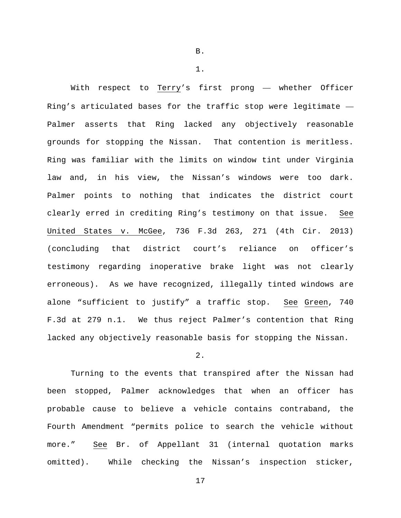With respect to Terry's first prong — whether Officer Ring's articulated bases for the traffic stop were legitimate — Palmer asserts that Ring lacked any objectively reasonable grounds for stopping the Nissan. That contention is meritless. Ring was familiar with the limits on window tint under Virginia law and, in his view, the Nissan's windows were too dark. Palmer points to nothing that indicates the district court clearly erred in crediting Ring's testimony on that issue. See United States v. McGee, 736 F.3d 263, 271 (4th Cir. 2013) (concluding that district court's reliance on officer's testimony regarding inoperative brake light was not clearly erroneous). As we have recognized, illegally tinted windows are alone "sufficient to justify" a traffic stop. See Green, 740 F.3d at 279 n.1. We thus reject Palmer's contention that Ring lacked any objectively reasonable basis for stopping the Nissan.

# 2.

Turning to the events that transpired after the Nissan had been stopped, Palmer acknowledges that when an officer has probable cause to believe a vehicle contains contraband, the Fourth Amendment "permits police to search the vehicle without more." See Br. of Appellant 31 (internal quotation marks omitted). While checking the Nissan's inspection sticker,

B.

1.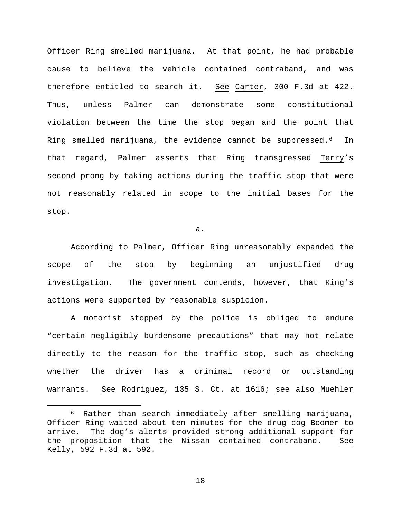Officer Ring smelled marijuana. At that point, he had probable cause to believe the vehicle contained contraband, and was therefore entitled to search it. See Carter, 300 F.3d at 422. Thus, unless Palmer can demonstrate some constitutional violation between the time the stop began and the point that Ring smelled marijuana, the evidence cannot be suppressed.<sup>6</sup> In that regard, Palmer asserts that Ring transgressed Terry's second prong by taking actions during the traffic stop that were not reasonably related in scope to the initial bases for the stop.

a.

According to Palmer, Officer Ring unreasonably expanded the scope of the stop by beginning an unjustified drug investigation. The government contends, however, that Ring's actions were supported by reasonable suspicion.

A motorist stopped by the police is obliged to endure "certain negligibly burdensome precautions" that may not relate directly to the reason for the traffic stop, such as checking whether the driver has a criminal record or outstanding warrants. See Rodriguez, 135 S. Ct. at 1616; see also Muehler

<span id="page-17-0"></span> <sup>6</sup> Rather than search immediately after smelling marijuana, Officer Ring waited about ten minutes for the drug dog Boomer to<br>arrive. The dog's alerts provided strong additional support for The dog's alerts provided strong additional support for the proposition that the Nissan contained contraband. See Kelly, 592 F.3d at 592.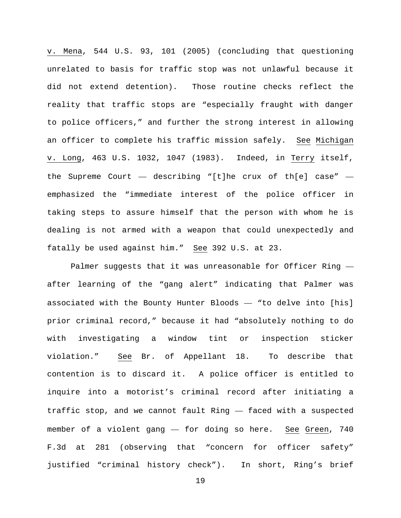v. Mena, 544 U.S. 93, 101 (2005) (concluding that questioning unrelated to basis for traffic stop was not unlawful because it did not extend detention). Those routine checks reflect the reality that traffic stops are "especially fraught with danger to police officers," and further the strong interest in allowing an officer to complete his traffic mission safely. See Michigan v. Long, 463 U.S. 1032, 1047 (1983). Indeed, in Terry itself, the Supreme Court  $-$  describing "[t]he crux of th[e] case"  $$ emphasized the "immediate interest of the police officer in taking steps to assure himself that the person with whom he is dealing is not armed with a weapon that could unexpectedly and fatally be used against him." See 392 U.S. at 23.

Palmer suggests that it was unreasonable for Officer Ring after learning of the "gang alert" indicating that Palmer was associated with the Bounty Hunter Bloods — "to delve into [his] prior criminal record," because it had "absolutely nothing to do with investigating a window tint or inspection sticker violation." See Br. of Appellant 18. To describe that contention is to discard it. A police officer is entitled to inquire into a motorist's criminal record after initiating a traffic stop, and we cannot fault Ring — faced with a suspected member of a violent gang — for doing so here. See Green, 740 F.3d at 281 (observing that "concern for officer safety" justified "criminal history check"). In short, Ring's brief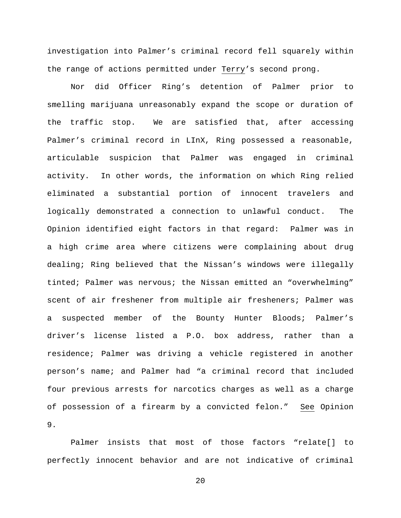investigation into Palmer's criminal record fell squarely within the range of actions permitted under Terry's second prong.

Nor did Officer Ring's detention of Palmer prior to smelling marijuana unreasonably expand the scope or duration of the traffic stop. We are satisfied that, after accessing Palmer's criminal record in LInX, Ring possessed a reasonable, articulable suspicion that Palmer was engaged in criminal activity. In other words, the information on which Ring relied eliminated a substantial portion of innocent travelers and logically demonstrated a connection to unlawful conduct. The Opinion identified eight factors in that regard: Palmer was in a high crime area where citizens were complaining about drug dealing; Ring believed that the Nissan's windows were illegally tinted; Palmer was nervous; the Nissan emitted an "overwhelming" scent of air freshener from multiple air fresheners; Palmer was a suspected member of the Bounty Hunter Bloods; Palmer's driver's license listed a P.O. box address, rather than a residence; Palmer was driving a vehicle registered in another person's name; and Palmer had "a criminal record that included four previous arrests for narcotics charges as well as a charge of possession of a firearm by a convicted felon." See Opinion 9.

Palmer insists that most of those factors "relate[] to perfectly innocent behavior and are not indicative of criminal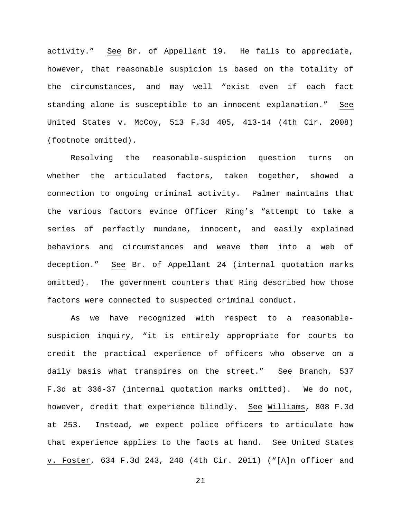activity." See Br. of Appellant 19. He fails to appreciate, however, that reasonable suspicion is based on the totality of the circumstances, and may well "exist even if each fact standing alone is susceptible to an innocent explanation." See United States v. McCoy, 513 F.3d 405, 413-14 (4th Cir. 2008) (footnote omitted).

Resolving the reasonable-suspicion question turns on whether the articulated factors, taken together, showed a connection to ongoing criminal activity. Palmer maintains that the various factors evince Officer Ring's "attempt to take a series of perfectly mundane, innocent, and easily explained behaviors and circumstances and weave them into a web of deception." See Br. of Appellant 24 (internal quotation marks omitted). The government counters that Ring described how those factors were connected to suspected criminal conduct.

As we have recognized with respect to a reasonablesuspicion inquiry, "it is entirely appropriate for courts to credit the practical experience of officers who observe on a daily basis what transpires on the street." See Branch, 537 F.3d at 336-37 (internal quotation marks omitted). We do not, however, credit that experience blindly. See Williams, 808 F.3d at 253. Instead, we expect police officers to articulate how that experience applies to the facts at hand. See United States v. Foster, 634 F.3d 243, 248 (4th Cir. 2011) ("[A]n officer and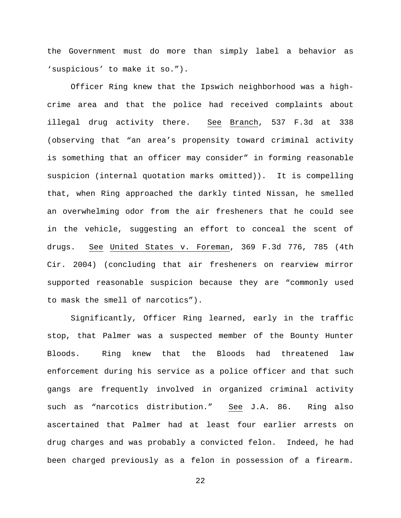the Government must do more than simply label a behavior as 'suspicious' to make it so.").

Officer Ring knew that the Ipswich neighborhood was a highcrime area and that the police had received complaints about illegal drug activity there. See Branch, 537 F.3d at 338 (observing that "an area's propensity toward criminal activity is something that an officer may consider" in forming reasonable suspicion (internal quotation marks omitted)). It is compelling that, when Ring approached the darkly tinted Nissan, he smelled an overwhelming odor from the air fresheners that he could see in the vehicle, suggesting an effort to conceal the scent of drugs. See United States v. Foreman, 369 F.3d 776, 785 (4th Cir. 2004) (concluding that air fresheners on rearview mirror supported reasonable suspicion because they are "commonly used to mask the smell of narcotics").

Significantly, Officer Ring learned, early in the traffic stop, that Palmer was a suspected member of the Bounty Hunter Bloods. Ring knew that the Bloods had threatened law enforcement during his service as a police officer and that such gangs are frequently involved in organized criminal activity such as "narcotics distribution." See J.A. 86. Ring also ascertained that Palmer had at least four earlier arrests on drug charges and was probably a convicted felon. Indeed, he had been charged previously as a felon in possession of a firearm.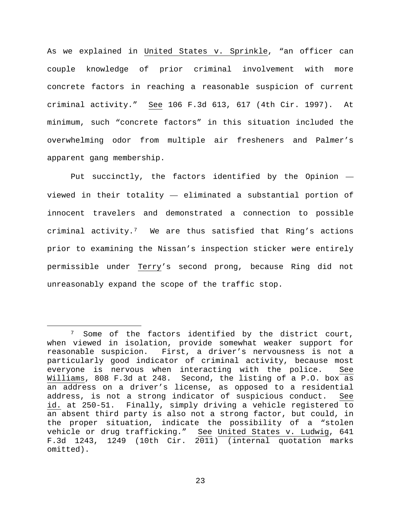As we explained in United States v. Sprinkle, "an officer can couple knowledge of prior criminal involvement with more concrete factors in reaching a reasonable suspicion of current criminal activity." See 106 F.3d 613, 617 (4th Cir. 1997). At minimum, such "concrete factors" in this situation included the overwhelming odor from multiple air fresheners and Palmer's apparent gang membership.

Put succinctly, the factors identified by the Opinion viewed in their totality — eliminated a substantial portion of innocent travelers and demonstrated a connection to possible criminal activity.<sup>7</sup> We are thus satisfied that Ring's actions prior to examining the Nissan's inspection sticker were entirely permissible under Terry's second prong, because Ring did not unreasonably expand the scope of the traffic stop.

<span id="page-22-0"></span><sup>&</sup>lt;sup>7</sup> Some of the factors identified by the district court, when viewed in isolation, provide somewhat weaker support for reasonable suspicion. First, a driver's nervousness is not a particularly good indicator of criminal activity, because most everyone is nervous when interacting with the police. See Williams, 808 F.3d at 248. Second, the listing of a P.O. box as an address on a driver's license, as opposed to a residential address, is not a strong indicator of suspicious conduct. See id. at 250-51. Finally, simply driving a vehicle registered to an absent third party is also not a strong factor, but could, in the proper situation, indicate the possibility of a "stolen vehicle or drug trafficking." See United States v. Ludwig, 641 F.3d 1243, 1249 (10th Cir. 2011) (internal quotation marks omitted).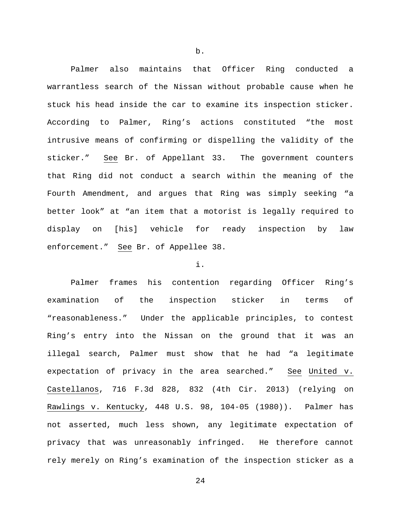Palmer also maintains that Officer Ring conducted a warrantless search of the Nissan without probable cause when he stuck his head inside the car to examine its inspection sticker. According to Palmer, Ring's actions constituted "the most intrusive means of confirming or dispelling the validity of the sticker." See Br. of Appellant 33. The government counters that Ring did not conduct a search within the meaning of the Fourth Amendment, and argues that Ring was simply seeking "a better look" at "an item that a motorist is legally required to display on [his] vehicle for ready inspection by law enforcement." See Br. of Appellee 38.

## i.

Palmer frames his contention regarding Officer Ring's examination of the inspection sticker in terms of "reasonableness." Under the applicable principles, to contest Ring's entry into the Nissan on the ground that it was an illegal search, Palmer must show that he had "a legitimate expectation of privacy in the area searched." See United v. Castellanos, 716 F.3d 828, 832 (4th Cir. 2013) (relying on Rawlings v. Kentucky, 448 U.S. 98, 104-05 (1980)). Palmer has not asserted, much less shown, any legitimate expectation of privacy that was unreasonably infringed. He therefore cannot rely merely on Ring's examination of the inspection sticker as a

b.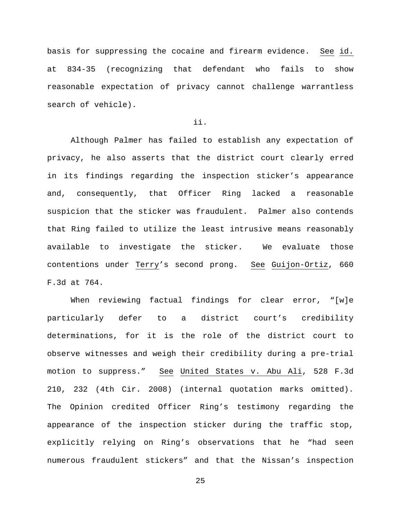basis for suppressing the cocaine and firearm evidence. See id. at 834-35 (recognizing that defendant who fails to show reasonable expectation of privacy cannot challenge warrantless search of vehicle).

## ii.

Although Palmer has failed to establish any expectation of privacy, he also asserts that the district court clearly erred in its findings regarding the inspection sticker's appearance and, consequently, that Officer Ring lacked a reasonable suspicion that the sticker was fraudulent. Palmer also contends that Ring failed to utilize the least intrusive means reasonably available to investigate the sticker. We evaluate those contentions under Terry's second prong. See Guijon-Ortiz, 660 F.3d at 764.

When reviewing factual findings for clear error, "[w]e particularly defer to a district court's credibility determinations, for it is the role of the district court to observe witnesses and weigh their credibility during a pre-trial motion to suppress." See United States v. Abu Ali, 528 F.3d 210, 232 (4th Cir. 2008) (internal quotation marks omitted). The Opinion credited Officer Ring's testimony regarding the appearance of the inspection sticker during the traffic stop, explicitly relying on Ring's observations that he "had seen numerous fraudulent stickers" and that the Nissan's inspection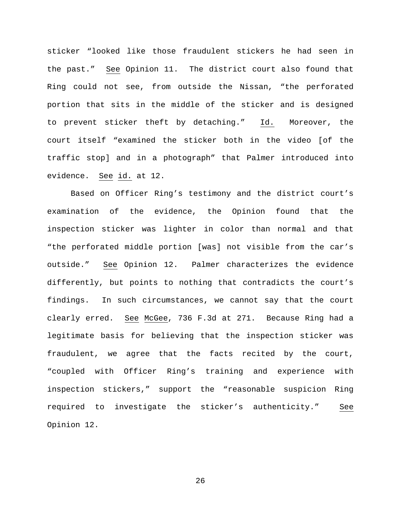sticker "looked like those fraudulent stickers he had seen in the past." See Opinion 11. The district court also found that Ring could not see, from outside the Nissan, "the perforated portion that sits in the middle of the sticker and is designed to prevent sticker theft by detaching." Id. Moreover, the court itself "examined the sticker both in the video [of the traffic stop] and in a photograph" that Palmer introduced into evidence. See id. at 12.

Based on Officer Ring's testimony and the district court's examination of the evidence, the Opinion found that the inspection sticker was lighter in color than normal and that "the perforated middle portion [was] not visible from the car's outside." See Opinion 12. Palmer characterizes the evidence differently, but points to nothing that contradicts the court's findings. In such circumstances, we cannot say that the court clearly erred. See McGee, 736 F.3d at 271. Because Ring had a legitimate basis for believing that the inspection sticker was fraudulent, we agree that the facts recited by the court, "coupled with Officer Ring's training and experience with inspection stickers," support the "reasonable suspicion Ring required to investigate the sticker's authenticity." See Opinion 12.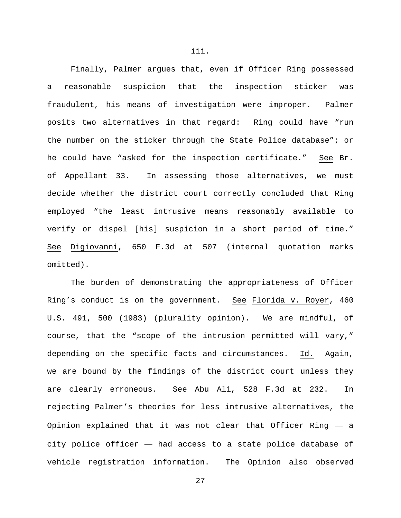Finally, Palmer argues that, even if Officer Ring possessed a reasonable suspicion that the inspection sticker was fraudulent, his means of investigation were improper. Palmer posits two alternatives in that regard: Ring could have "run the number on the sticker through the State Police database"; or he could have "asked for the inspection certificate." See Br. of Appellant 33. In assessing those alternatives, we must decide whether the district court correctly concluded that Ring employed "the least intrusive means reasonably available to verify or dispel [his] suspicion in a short period of time." See Digiovanni, 650 F.3d at 507 (internal quotation marks omitted).

The burden of demonstrating the appropriateness of Officer Ring's conduct is on the government. See Florida v. Royer, 460 U.S. 491, 500 (1983) (plurality opinion). We are mindful, of course, that the "scope of the intrusion permitted will vary," depending on the specific facts and circumstances. Id. Again, we are bound by the findings of the district court unless they are clearly erroneous. See Abu Ali, 528 F.3d at 232. In rejecting Palmer's theories for less intrusive alternatives, the Opinion explained that it was not clear that Officer Ring — a city police officer — had access to a state police database of vehicle registration information. The Opinion also observed

iii.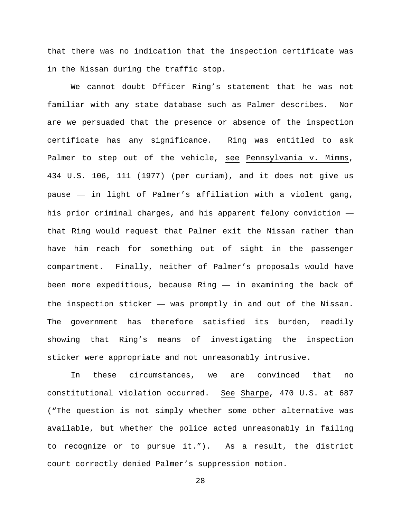that there was no indication that the inspection certificate was in the Nissan during the traffic stop.

We cannot doubt Officer Ring's statement that he was not familiar with any state database such as Palmer describes. Nor are we persuaded that the presence or absence of the inspection certificate has any significance. Ring was entitled to ask Palmer to step out of the vehicle, see Pennsylvania v. Mimms, 434 U.S. 106, 111 (1977) (per curiam), and it does not give us pause — in light of Palmer's affiliation with a violent gang, his prior criminal charges, and his apparent felony conviction that Ring would request that Palmer exit the Nissan rather than have him reach for something out of sight in the passenger compartment. Finally, neither of Palmer's proposals would have been more expeditious, because Ring — in examining the back of the inspection sticker — was promptly in and out of the Nissan. The government has therefore satisfied its burden, readily showing that Ring's means of investigating the inspection sticker were appropriate and not unreasonably intrusive.

In these circumstances, we are convinced that no constitutional violation occurred. See Sharpe, 470 U.S. at 687 ("The question is not simply whether some other alternative was available, but whether the police acted unreasonably in failing to recognize or to pursue it."). As a result, the district court correctly denied Palmer's suppression motion.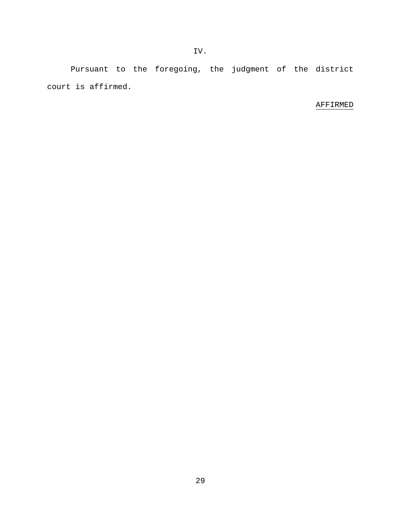Pursuant to the foregoing, the judgment of the district court is affirmed.

# AFFIRMED